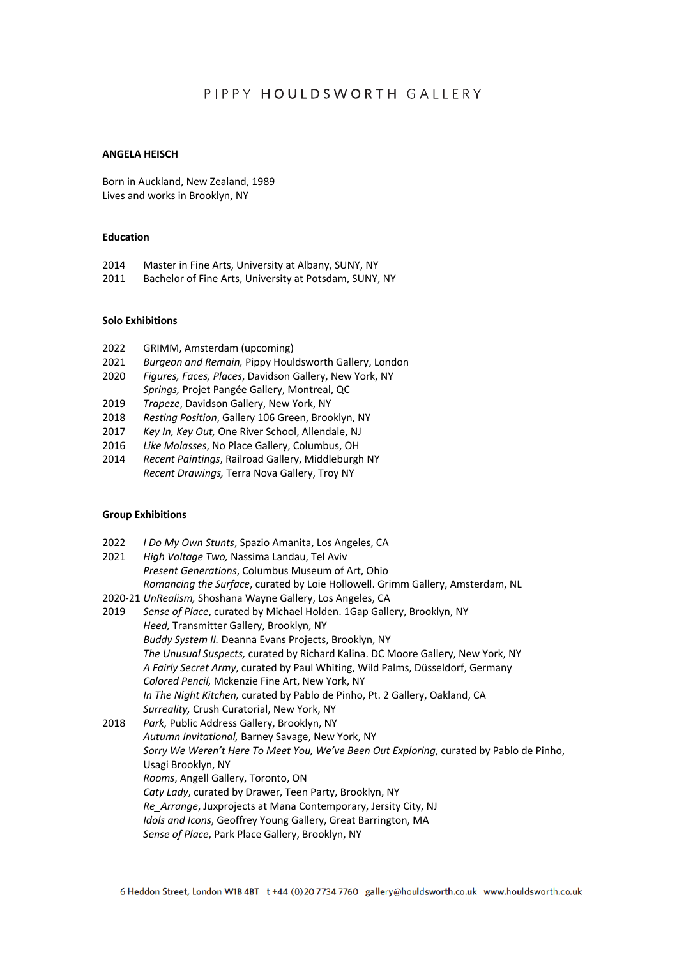# PIPPY HOULDSWORTH GALLERY

#### **ANGELA HEISCH**

Born in Auckland, New Zealand, 1989 Lives and works in Brooklyn, NY

#### **Education**

- 2014 Master in Fine Arts, University at Albany, SUNY, NY
- 2011 Bachelor of Fine Arts, University at Potsdam, SUNY, NY

### **Solo Exhibitions**

- 2022 GRIMM, Amsterdam (upcoming)
- 2021 *Burgeon and Remain,* Pippy Houldsworth Gallery, London
- 2020 *Figures, Faces, Places*, Davidson Gallery, New York, NY
- *Springs,* Projet Pangée Gallery, Montreal, QC
- 2019 *Trapeze*, Davidson Gallery, New York, NY
- 2018 *Resting Position*, Gallery 106 Green, Brooklyn, NY
- 2017 *Key In, Key Out,* One River School, Allendale, NJ
- 2016 *Like Molasses*, No Place Gallery, Columbus, OH
- 2014 *Recent Paintings*, Railroad Gallery, Middleburgh NY *Recent Drawings,* Terra Nova Gallery, Troy NY

### **Group Exhibitions**

- 2022 *I Do My Own Stunts*, Spazio Amanita, Los Angeles, CA
- 2021 *High Voltage Two,* Nassima Landau, Tel Aviv *Present Generations*, Columbus Museum of Art, Ohio *Romancing the Surface*, curated by Loie Hollowell. Grimm Gallery, Amsterdam, NL
- 2020-21 *UnRealism,* Shoshana Wayne Gallery, Los Angeles, CA
- 2019 *Sense of Place*, curated by Michael Holden. 1Gap Gallery, Brooklyn, NY *Heed,* Transmitter Gallery, Brooklyn, NY *Buddy System II.* Deanna Evans Projects, Brooklyn, NY *The Unusual Suspects,* curated by Richard Kalina. DC Moore Gallery, New York, NY *A Fairly Secret Army*, curated by Paul Whiting, Wild Palms, Düsseldorf, Germany *Colored Pencil,* Mckenzie Fine Art, New York, NY *In The Night Kitchen,* curated by Pablo de Pinho, Pt. 2 Gallery, Oakland, CA *Surreality,* Crush Curatorial, New York, NY
- 2018 *Park,* Public Address Gallery, Brooklyn, NY *Autumn Invitational,* Barney Savage, New York, NY *Sorry We Weren't Here To Meet You, We've Been Out Exploring*, curated by Pablo de Pinho, Usagi Brooklyn, NY *Rooms*, Angell Gallery, Toronto, ON *Caty Lady*, curated by Drawer, Teen Party, Brooklyn, NY *Re\_Arrange*, Juxprojects at Mana Contemporary, Jersity City, NJ *Idols and Icons*, Geoffrey Young Gallery, Great Barrington, MA *Sense of Place*, Park Place Gallery, Brooklyn, NY